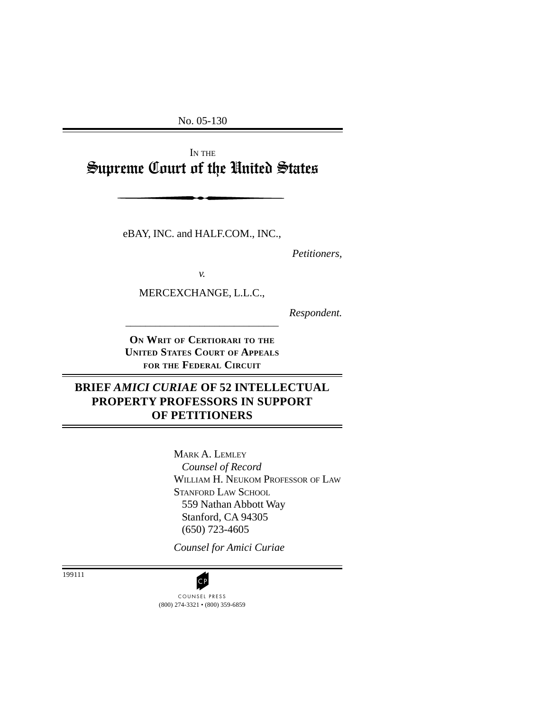No. 05-130

IN THE Supreme Court of the United States

eBAY, INC. and HALF.COM., INC.,

*Petitioners,*

*v.*

MERCEXCHANGE, L.L.C.,

\_\_\_\_\_\_\_\_\_\_\_\_\_\_\_\_\_\_\_\_\_\_\_\_\_\_\_\_\_\_\_

*Respondent.*

**ON WRIT OF CERTIORARI TO THE UNITED STATES COURT OF APPEALS FOR THE FEDERAL CIRCUIT**

# **BRIEF** *AMICI CURIAE* **OF 52 INTELLECTUAL PROPERTY PROFESSORS IN SUPPORT OF PETITIONERS**

MARK A. LEMLEY *Counsel of Record* WILLIAM H. NEUKOM PROFESSOR OF LAW STANFORD LAW SCHOOL 559 Nathan Abbott Way Stanford, CA 94305 (650) 723-4605

*Counsel for Amici Curiae*

199111

(800) 274-3321 • (800) 359-6859 CP<br>COUNSEL PRESS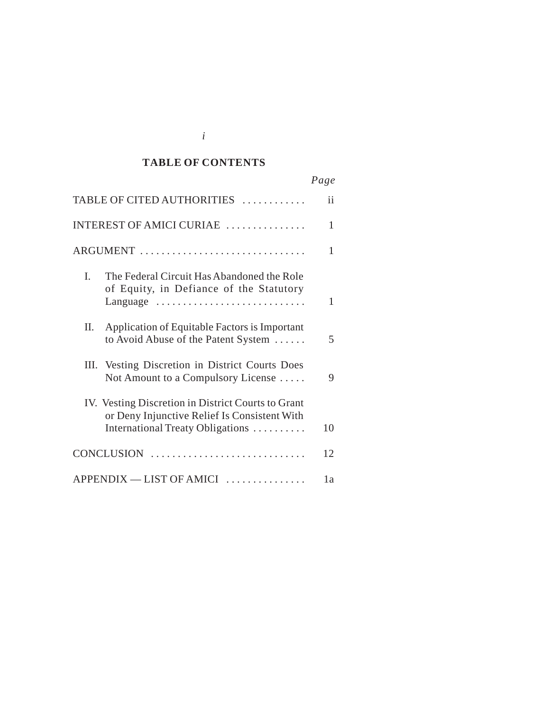#### *Cited Authorities* **TABLE OF CONTENTS**

|                                                                                                                                        | Page |
|----------------------------------------------------------------------------------------------------------------------------------------|------|
| TABLE OF CITED AUTHORITIES                                                                                                             | ii   |
| INTEREST OF AMICI CURIAE                                                                                                               | 1    |
| ARGUMENT                                                                                                                               | 1    |
| I.<br>The Federal Circuit Has Abandoned the Role<br>of Equity, in Defiance of the Statutory<br>Language                                | 1    |
| Π.<br>Application of Equitable Factors is Important<br>to Avoid Abuse of the Patent System                                             | 5    |
| III. Vesting Discretion in District Courts Does<br>Not Amount to a Compulsory License                                                  | 9    |
| IV. Vesting Discretion in District Courts to Grant<br>or Deny Injunctive Relief Is Consistent With<br>International Treaty Obligations | 10   |
| CONCLUSION                                                                                                                             | 12   |
| APPENDIX - LIST OF AMICI                                                                                                               | 1a   |

*i*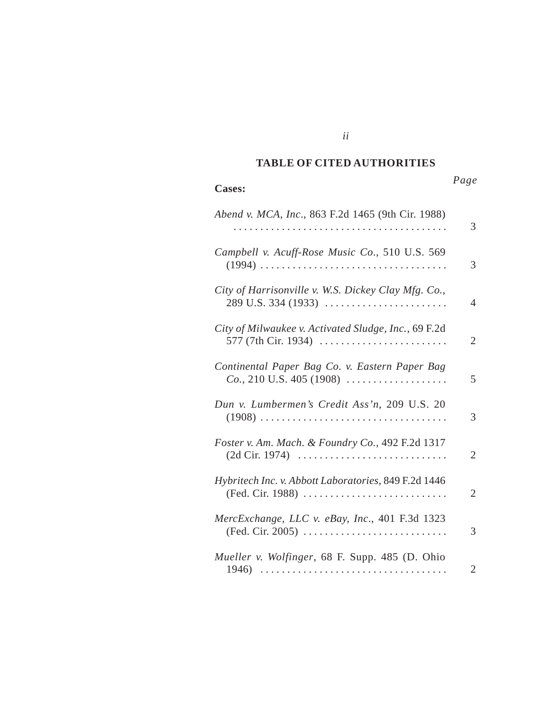#### *Cited Authorities* **TABLE OF CITED AUTHORITIES**

*ii*

#### **Cases:**

# *Page*

| Abend v. MCA, Inc., 863 F.2d 1465 (9th Cir. 1988)                            | 3 |
|------------------------------------------------------------------------------|---|
| Campbell v. Acuff-Rose Music Co., 510 U.S. 569                               | 3 |
| City of Harrisonville v. W.S. Dickey Clay Mfg. Co.,<br>$289$ U.S. 334 (1933) | 4 |
| City of Milwaukee v. Activated Sludge, Inc., 69 F.2d<br>577 (7th Cir. 1934)  | 2 |
| Continental Paper Bag Co. v. Eastern Paper Bag<br>$Co., 210$ U.S. 405 (1908) | 5 |
| Dun v. Lumbermen's Credit Ass'n, 209 U.S. 20                                 | 3 |
| Foster v. Am. Mach. & Foundry Co., 492 F.2d 1317                             | 2 |
| Hybritech Inc. v. Abbott Laboratories, 849 F.2d 1446<br>(Fed. Cir. 1988)     | 2 |
| MercExchange, LLC v. eBay, Inc., 401 F.3d 1323                               | 3 |
| Mueller v. Wolfinger, 68 F. Supp. 485 (D. Ohio                               | 2 |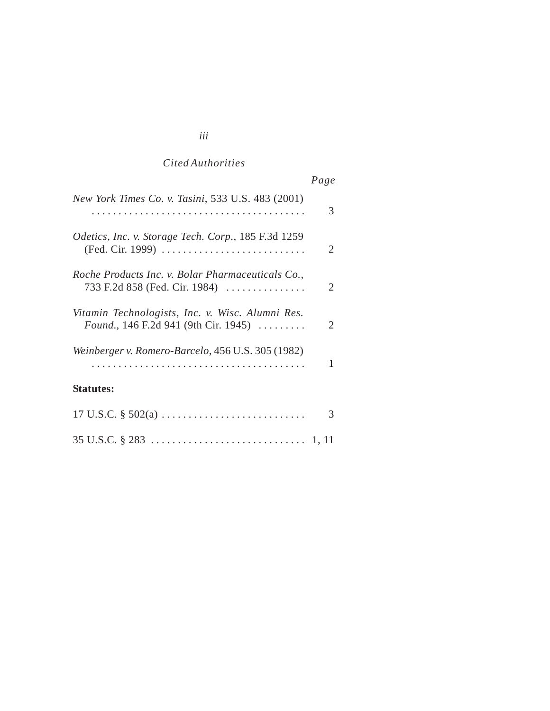# *Cited Authorities*

|                                                                                                                  | Page |
|------------------------------------------------------------------------------------------------------------------|------|
| New York Times Co. v. Tasini, 533 U.S. 483 (2001)                                                                | 3    |
| <i>Odetics, Inc. v. Storage Tech. Corp., 185 F.3d 1259</i><br>(Fed. Cir. 1999)                                   | 2    |
| Roche Products Inc. v. Bolar Pharmaceuticals Co.,<br>733 F.2d 858 (Fed. Cir. 1984)                               | 2    |
| Vitamin Technologists, Inc. v. Wisc. Alumni Res.<br><i>Found.</i> , 146 F.2d 941 (9th Cir. 1945) $\ldots \ldots$ | 2    |
| Weinberger v. Romero-Barcelo, 456 U.S. 305 (1982)                                                                | 1    |
| <b>Statutes:</b>                                                                                                 |      |
|                                                                                                                  | 3    |
|                                                                                                                  |      |

# *iii*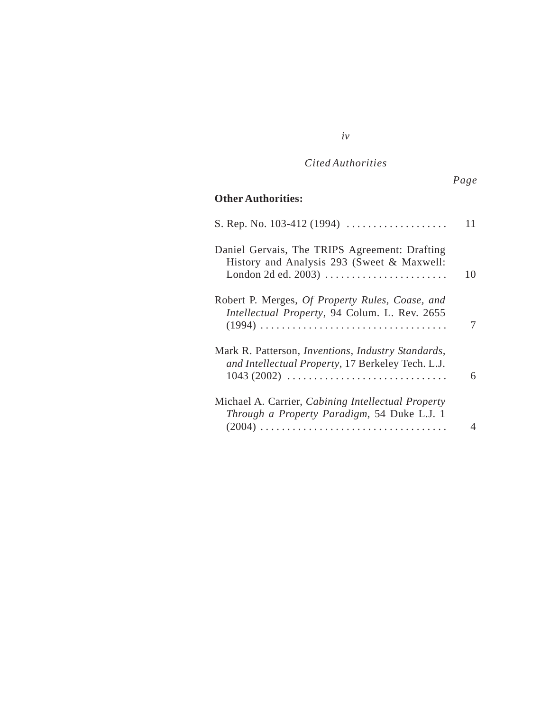# *Cited Authorities*

*iv*

# **Other Authorities:**

|                                                                                                                         | 11 |
|-------------------------------------------------------------------------------------------------------------------------|----|
| Daniel Gervais, The TRIPS Agreement: Drafting<br>History and Analysis 293 (Sweet & Maxwell:                             | 10 |
| Robert P. Merges, Of Property Rules, Coase, and<br>Intellectual Property, 94 Colum. L. Rev. 2655                        | 7  |
| Mark R. Patterson, <i>Inventions</i> , <i>Industry Standards</i> ,<br>and Intellectual Property, 17 Berkeley Tech. L.J. | 6  |
| Michael A. Carrier, Cabining Intellectual Property<br>Through a Property Paradigm, 54 Duke L.J. 1                       | 4  |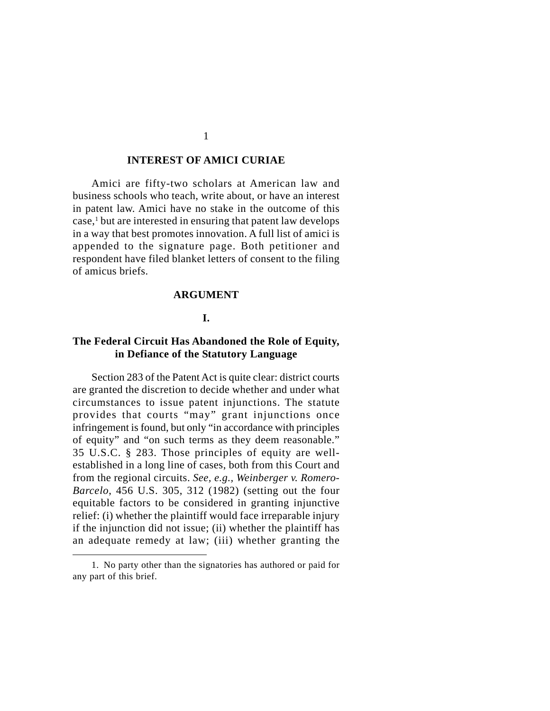#### **INTEREST OF AMICI CURIAE**

Amici are fifty-two scholars at American law and business schools who teach, write about, or have an interest in patent law. Amici have no stake in the outcome of this case,<sup>1</sup> but are interested in ensuring that patent law develops in a way that best promotes innovation. A full list of amici is appended to the signature page. Both petitioner and respondent have filed blanket letters of consent to the filing of amicus briefs.

#### **ARGUMENT**

#### **I.**

#### **The Federal Circuit Has Abandoned the Role of Equity, in Defiance of the Statutory Language**

Section 283 of the Patent Act is quite clear: district courts are granted the discretion to decide whether and under what circumstances to issue patent injunctions. The statute provides that courts "may" grant injunctions once infringement is found, but only "in accordance with principles of equity" and "on such terms as they deem reasonable." 35 U.S.C. § 283. Those principles of equity are wellestablished in a long line of cases, both from this Court and from the regional circuits. *See, e.g., Weinberger v. Romero-Barcelo*, 456 U.S. 305, 312 (1982) (setting out the four equitable factors to be considered in granting injunctive relief: (i) whether the plaintiff would face irreparable injury if the injunction did not issue; (ii) whether the plaintiff has an adequate remedy at law; (iii) whether granting the

1

<sup>1.</sup> No party other than the signatories has authored or paid for any part of this brief.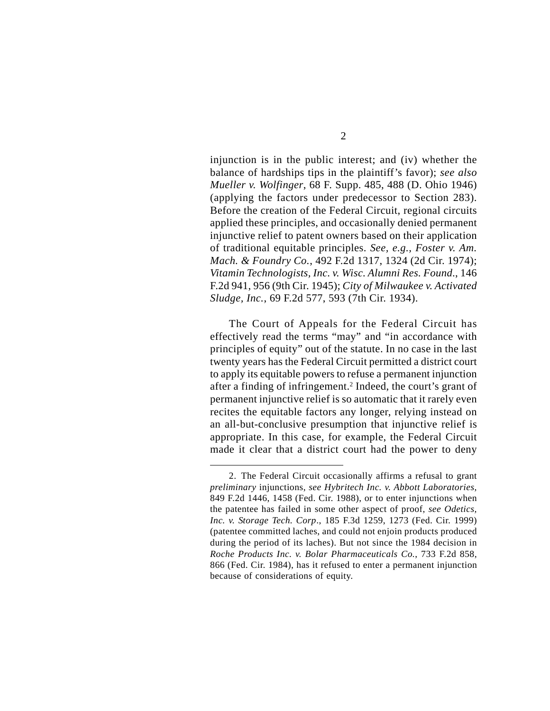injunction is in the public interest; and (iv) whether the balance of hardships tips in the plaintiff's favor); *see also Mueller v. Wolfinger*, 68 F. Supp. 485, 488 (D. Ohio 1946) (applying the factors under predecessor to Section 283). Before the creation of the Federal Circuit, regional circuits applied these principles, and occasionally denied permanent injunctive relief to patent owners based on their application of traditional equitable principles. *See, e.g., Foster v. Am. Mach. & Foundry Co.*, 492 F.2d 1317, 1324 (2d Cir. 1974); *Vitamin Technologists, Inc. v. Wisc. Alumni Res. Found*., 146 F.2d 941, 956 (9th Cir. 1945); *City of Milwaukee v. Activated Sludge, Inc.*, 69 F.2d 577, 593 (7th Cir. 1934).

The Court of Appeals for the Federal Circuit has effectively read the terms "may" and "in accordance with principles of equity" out of the statute. In no case in the last twenty years has the Federal Circuit permitted a district court to apply its equitable powers to refuse a permanent injunction after a finding of infringement.<sup>2</sup> Indeed, the court's grant of permanent injunctive relief is so automatic that it rarely even recites the equitable factors any longer, relying instead on an all-but-conclusive presumption that injunctive relief is appropriate. In this case, for example, the Federal Circuit made it clear that a district court had the power to deny

<sup>2.</sup> The Federal Circuit occasionally affirms a refusal to grant *preliminary* injunctions, *see Hybritech Inc. v. Abbott Laboratories*, 849 F.2d 1446, 1458 (Fed. Cir. 1988), or to enter injunctions when the patentee has failed in some other aspect of proof, *see Odetics, Inc. v. Storage Tech. Corp*., 185 F.3d 1259, 1273 (Fed. Cir. 1999) (patentee committed laches, and could not enjoin products produced during the period of its laches). But not since the 1984 decision in *Roche Products Inc. v. Bolar Pharmaceuticals Co.*, 733 F.2d 858, 866 (Fed. Cir. 1984), has it refused to enter a permanent injunction because of considerations of equity.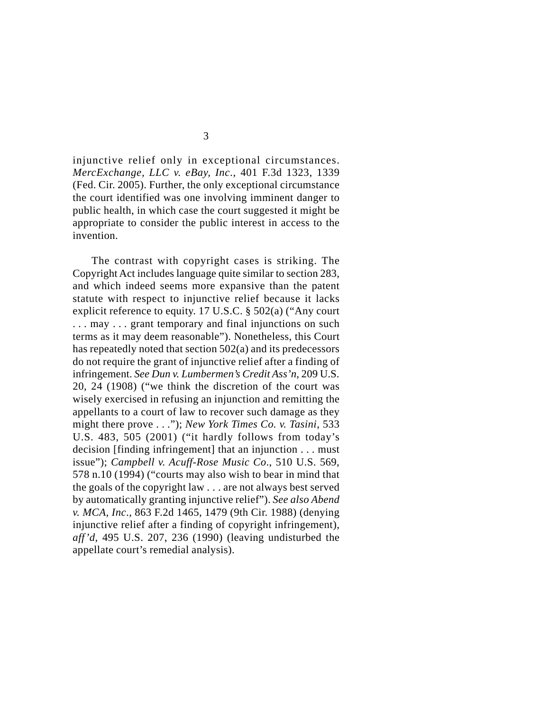injunctive relief only in exceptional circumstances. *MercExchange, LLC v. eBay, Inc*., 401 F.3d 1323, 1339 (Fed. Cir. 2005). Further, the only exceptional circumstance the court identified was one involving imminent danger to public health, in which case the court suggested it might be appropriate to consider the public interest in access to the invention.

The contrast with copyright cases is striking. The Copyright Act includes language quite similar to section 283, and which indeed seems more expansive than the patent statute with respect to injunctive relief because it lacks explicit reference to equity. 17 U.S.C. § 502(a) ("Any court ... may ... grant temporary and final injunctions on such terms as it may deem reasonable"). Nonetheless, this Court has repeatedly noted that section 502(a) and its predecessors do not require the grant of injunctive relief after a finding of infringement. *See Dun v. Lumbermen's Credit Ass'n*, 209 U.S. 20, 24 (1908) ("we think the discretion of the court was wisely exercised in refusing an injunction and remitting the appellants to a court of law to recover such damage as they might there prove . . ."); *New York Times Co. v. Tasini*, 533 U.S. 483, 505 (2001) ("it hardly follows from today's decision [finding infringement] that an injunction . . . must issue"); *Campbell v. Acuff-Rose Music Co*., 510 U.S. 569, 578 n.10 (1994) ("courts may also wish to bear in mind that the goals of the copyright law . . . are not always best served by automatically granting injunctive relief"). *See also Abend v. MCA, Inc*., 863 F.2d 1465, 1479 (9th Cir. 1988) (denying injunctive relief after a finding of copyright infringement), *aff'd*, 495 U.S. 207, 236 (1990) (leaving undisturbed the appellate court's remedial analysis).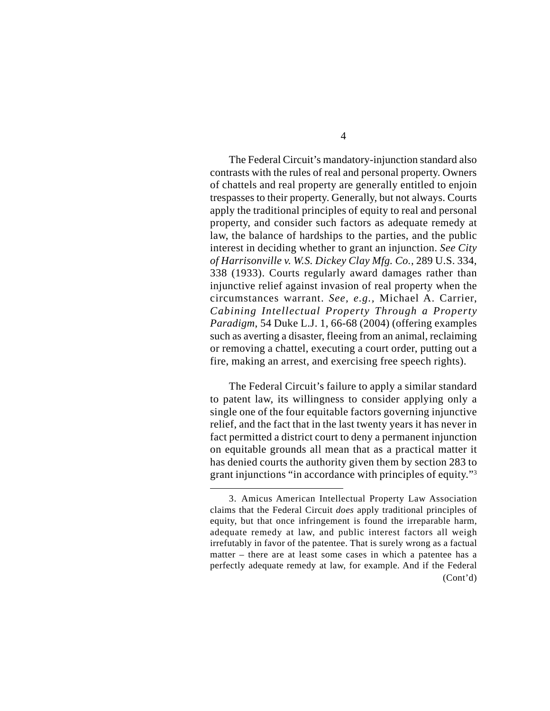The Federal Circuit's mandatory-injunction standard also contrasts with the rules of real and personal property. Owners of chattels and real property are generally entitled to enjoin trespasses to their property. Generally, but not always. Courts apply the traditional principles of equity to real and personal property, and consider such factors as adequate remedy at law, the balance of hardships to the parties, and the public interest in deciding whether to grant an injunction. *See City of Harrisonville v. W.S. Dickey Clay Mfg. Co.*, 289 U.S. 334, 338 (1933). Courts regularly award damages rather than injunctive relief against invasion of real property when the circumstances warrant. *See, e.g.,* Michael A. Carrier, *Cabining Intellectual Property Through a Property Paradigm*, 54 Duke L.J. 1, 66-68 (2004) (offering examples such as averting a disaster, fleeing from an animal, reclaiming or removing a chattel, executing a court order, putting out a fire, making an arrest, and exercising free speech rights).

The Federal Circuit's failure to apply a similar standard to patent law, its willingness to consider applying only a single one of the four equitable factors governing injunctive relief, and the fact that in the last twenty years it has never in fact permitted a district court to deny a permanent injunction on equitable grounds all mean that as a practical matter it has denied courts the authority given them by section 283 to grant injunctions "in accordance with principles of equity."3

<sup>3.</sup> Amicus American Intellectual Property Law Association claims that the Federal Circuit *does* apply traditional principles of equity, but that once infringement is found the irreparable harm, adequate remedy at law, and public interest factors all weigh irrefutably in favor of the patentee. That is surely wrong as a factual matter – there are at least some cases in which a patentee has a perfectly adequate remedy at law, for example. And if the Federal (Cont'd)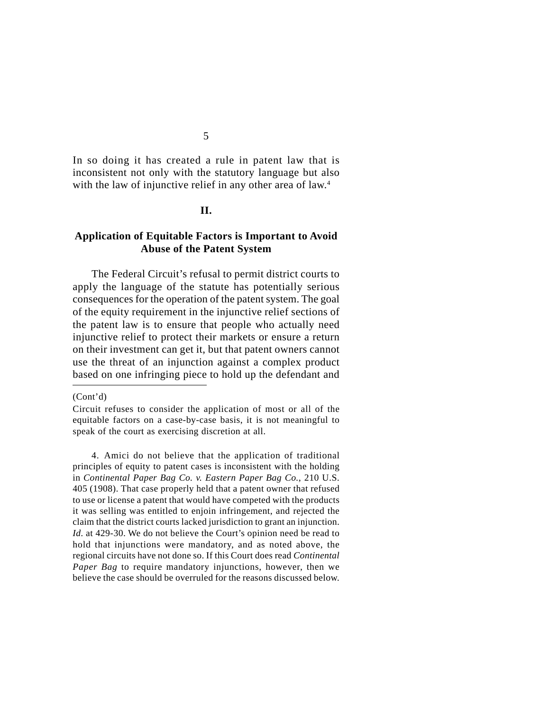In so doing it has created a rule in patent law that is inconsistent not only with the statutory language but also with the law of injunctive relief in any other area of law.<sup>4</sup>

#### **II.**

#### **Application of Equitable Factors is Important to Avoid Abuse of the Patent System**

The Federal Circuit's refusal to permit district courts to apply the language of the statute has potentially serious consequences for the operation of the patent system. The goal of the equity requirement in the injunctive relief sections of the patent law is to ensure that people who actually need injunctive relief to protect their markets or ensure a return on their investment can get it, but that patent owners cannot use the threat of an injunction against a complex product based on one infringing piece to hold up the defendant and

#### (Cont'd)

4. Amici do not believe that the application of traditional principles of equity to patent cases is inconsistent with the holding in *Continental Paper Bag Co. v. Eastern Paper Bag Co.*, 210 U.S. 405 (1908). That case properly held that a patent owner that refused to use or license a patent that would have competed with the products it was selling was entitled to enjoin infringement, and rejected the claim that the district courts lacked jurisdiction to grant an injunction. *Id.* at 429-30. We do not believe the Court's opinion need be read to hold that injunctions were mandatory, and as noted above, the regional circuits have not done so. If this Court does read *Continental Paper Bag* to require mandatory injunctions, however, then we believe the case should be overruled for the reasons discussed below.

Circuit refuses to consider the application of most or all of the equitable factors on a case-by-case basis, it is not meaningful to speak of the court as exercising discretion at all.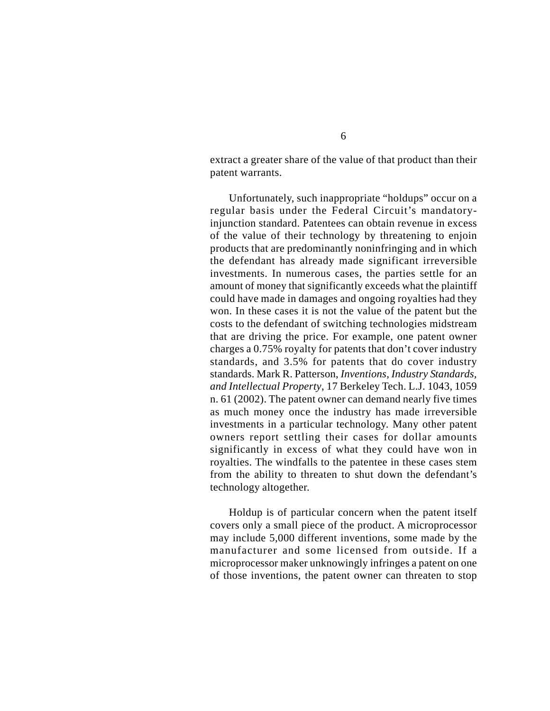extract a greater share of the value of that product than their patent warrants.

Unfortunately, such inappropriate "holdups" occur on a regular basis under the Federal Circuit's mandatoryinjunction standard. Patentees can obtain revenue in excess of the value of their technology by threatening to enjoin products that are predominantly noninfringing and in which the defendant has already made significant irreversible investments. In numerous cases, the parties settle for an amount of money that significantly exceeds what the plaintiff could have made in damages and ongoing royalties had they won. In these cases it is not the value of the patent but the costs to the defendant of switching technologies midstream that are driving the price. For example, one patent owner charges a 0.75% royalty for patents that don't cover industry standards, and 3.5% for patents that do cover industry standards. Mark R. Patterson, *Inventions, Industry Standards, and Intellectual Property*, 17 Berkeley Tech. L.J. 1043, 1059 n. 61 (2002). The patent owner can demand nearly five times as much money once the industry has made irreversible investments in a particular technology. Many other patent owners report settling their cases for dollar amounts significantly in excess of what they could have won in royalties. The windfalls to the patentee in these cases stem from the ability to threaten to shut down the defendant's technology altogether.

Holdup is of particular concern when the patent itself covers only a small piece of the product. A microprocessor may include 5,000 different inventions, some made by the manufacturer and some licensed from outside. If a microprocessor maker unknowingly infringes a patent on one of those inventions, the patent owner can threaten to stop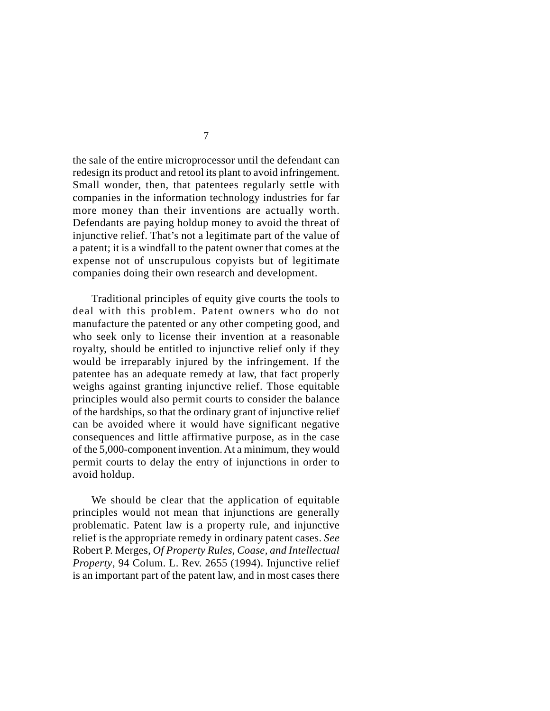the sale of the entire microprocessor until the defendant can redesign its product and retool its plant to avoid infringement. Small wonder, then, that patentees regularly settle with companies in the information technology industries for far more money than their inventions are actually worth. Defendants are paying holdup money to avoid the threat of injunctive relief. That's not a legitimate part of the value of a patent; it is a windfall to the patent owner that comes at the expense not of unscrupulous copyists but of legitimate companies doing their own research and development.

Traditional principles of equity give courts the tools to deal with this problem. Patent owners who do not manufacture the patented or any other competing good, and who seek only to license their invention at a reasonable royalty, should be entitled to injunctive relief only if they would be irreparably injured by the infringement. If the patentee has an adequate remedy at law, that fact properly weighs against granting injunctive relief. Those equitable principles would also permit courts to consider the balance of the hardships, so that the ordinary grant of injunctive relief can be avoided where it would have significant negative consequences and little affirmative purpose, as in the case of the 5,000-component invention. At a minimum, they would permit courts to delay the entry of injunctions in order to avoid holdup.

We should be clear that the application of equitable principles would not mean that injunctions are generally problematic. Patent law is a property rule, and injunctive relief is the appropriate remedy in ordinary patent cases. *See* Robert P. Merges, *Of Property Rules, Coase, and Intellectual Property*, 94 Colum. L. Rev. 2655 (1994). Injunctive relief is an important part of the patent law, and in most cases there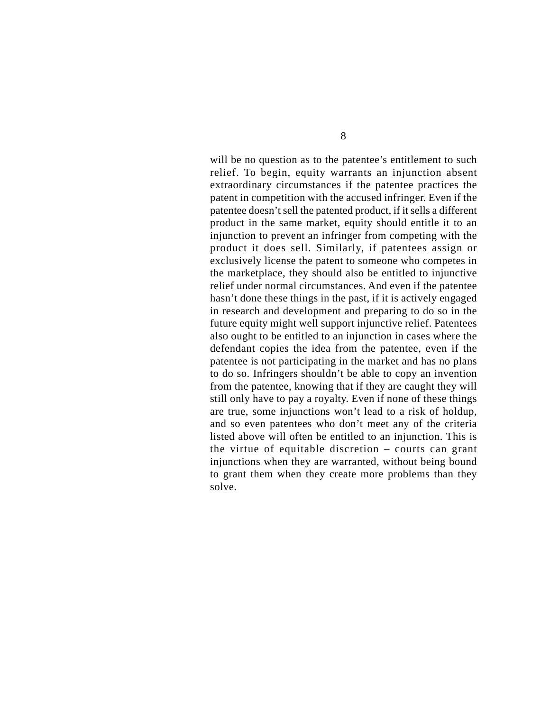will be no question as to the patentee's entitlement to such relief. To begin, equity warrants an injunction absent extraordinary circumstances if the patentee practices the patent in competition with the accused infringer. Even if the patentee doesn't sell the patented product, if it sells a different product in the same market, equity should entitle it to an injunction to prevent an infringer from competing with the product it does sell. Similarly, if patentees assign or exclusively license the patent to someone who competes in the marketplace, they should also be entitled to injunctive relief under normal circumstances. And even if the patentee hasn't done these things in the past, if it is actively engaged in research and development and preparing to do so in the future equity might well support injunctive relief. Patentees also ought to be entitled to an injunction in cases where the defendant copies the idea from the patentee, even if the patentee is not participating in the market and has no plans to do so. Infringers shouldn't be able to copy an invention from the patentee, knowing that if they are caught they will still only have to pay a royalty. Even if none of these things are true, some injunctions won't lead to a risk of holdup, and so even patentees who don't meet any of the criteria listed above will often be entitled to an injunction. This is the virtue of equitable discretion – courts can grant injunctions when they are warranted, without being bound to grant them when they create more problems than they solve.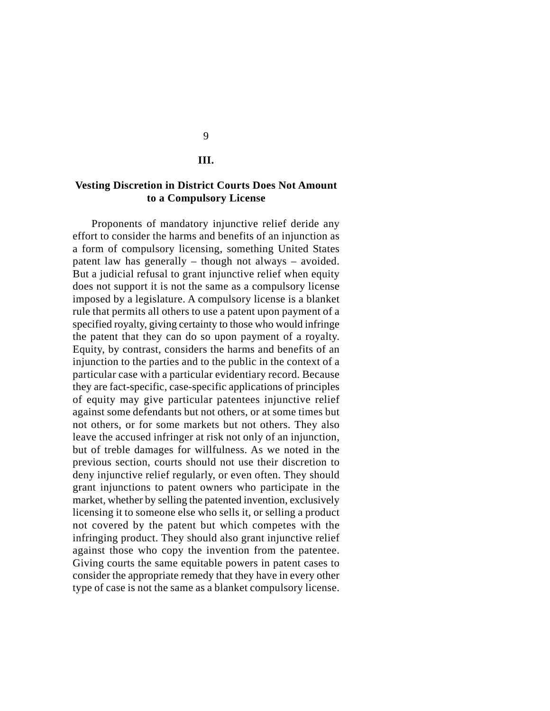#### **III.**

#### **Vesting Discretion in District Courts Does Not Amount to a Compulsory License**

Proponents of mandatory injunctive relief deride any effort to consider the harms and benefits of an injunction as a form of compulsory licensing, something United States patent law has generally – though not always – avoided. But a judicial refusal to grant injunctive relief when equity does not support it is not the same as a compulsory license imposed by a legislature. A compulsory license is a blanket rule that permits all others to use a patent upon payment of a specified royalty, giving certainty to those who would infringe the patent that they can do so upon payment of a royalty. Equity, by contrast, considers the harms and benefits of an injunction to the parties and to the public in the context of a particular case with a particular evidentiary record. Because they are fact-specific, case-specific applications of principles of equity may give particular patentees injunctive relief against some defendants but not others, or at some times but not others, or for some markets but not others. They also leave the accused infringer at risk not only of an injunction, but of treble damages for willfulness. As we noted in the previous section, courts should not use their discretion to deny injunctive relief regularly, or even often. They should grant injunctions to patent owners who participate in the market, whether by selling the patented invention, exclusively licensing it to someone else who sells it, or selling a product not covered by the patent but which competes with the infringing product. They should also grant injunctive relief against those who copy the invention from the patentee. Giving courts the same equitable powers in patent cases to consider the appropriate remedy that they have in every other type of case is not the same as a blanket compulsory license.

9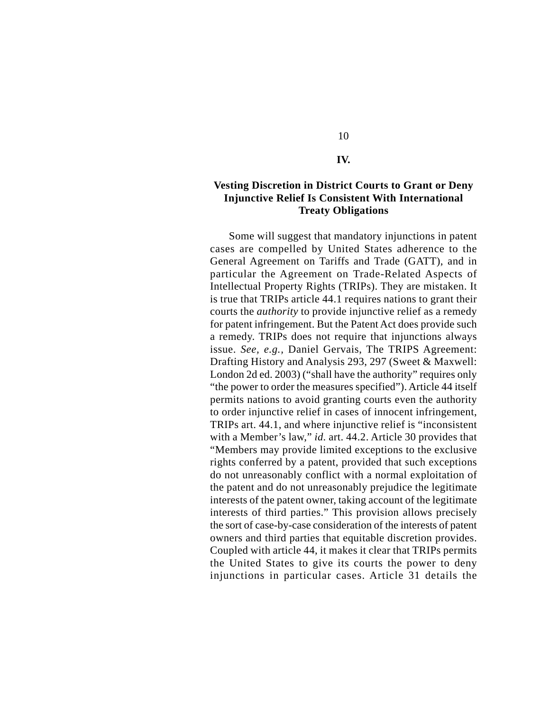#### **IV.**

10

#### **Vesting Discretion in District Courts to Grant or Deny Injunctive Relief Is Consistent With International Treaty Obligations**

Some will suggest that mandatory injunctions in patent cases are compelled by United States adherence to the General Agreement on Tariffs and Trade (GATT), and in particular the Agreement on Trade-Related Aspects of Intellectual Property Rights (TRIPs). They are mistaken. It is true that TRIPs article 44.1 requires nations to grant their courts the *authority* to provide injunctive relief as a remedy for patent infringement. But the Patent Act does provide such a remedy. TRIPs does not require that injunctions always issue. *See, e.g.,* Daniel Gervais, The TRIPS Agreement: Drafting History and Analysis 293, 297 (Sweet & Maxwell: London 2d ed. 2003) ("shall have the authority" requires only "the power to order the measures specified"). Article 44 itself permits nations to avoid granting courts even the authority to order injunctive relief in cases of innocent infringement, TRIPs art. 44.1, and where injunctive relief is "inconsistent with a Member's law," *id.* art. 44.2. Article 30 provides that "Members may provide limited exceptions to the exclusive rights conferred by a patent, provided that such exceptions do not unreasonably conflict with a normal exploitation of the patent and do not unreasonably prejudice the legitimate interests of the patent owner, taking account of the legitimate interests of third parties." This provision allows precisely the sort of case-by-case consideration of the interests of patent owners and third parties that equitable discretion provides. Coupled with article 44, it makes it clear that TRIPs permits the United States to give its courts the power to deny injunctions in particular cases. Article 31 details the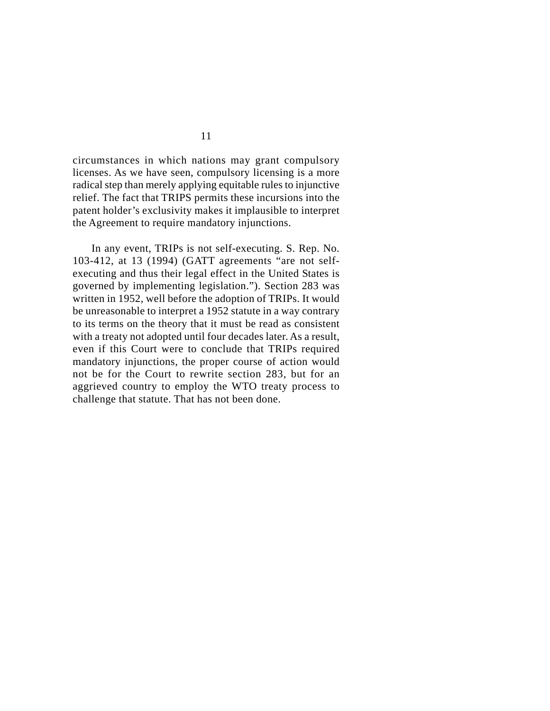circumstances in which nations may grant compulsory licenses. As we have seen, compulsory licensing is a more radical step than merely applying equitable rules to injunctive relief. The fact that TRIPS permits these incursions into the patent holder's exclusivity makes it implausible to interpret the Agreement to require mandatory injunctions.

In any event, TRIPs is not self-executing. S. Rep. No. 103-412, at 13 (1994) (GATT agreements "are not selfexecuting and thus their legal effect in the United States is governed by implementing legislation."). Section 283 was written in 1952, well before the adoption of TRIPs. It would be unreasonable to interpret a 1952 statute in a way contrary to its terms on the theory that it must be read as consistent with a treaty not adopted until four decades later. As a result, even if this Court were to conclude that TRIPs required mandatory injunctions, the proper course of action would not be for the Court to rewrite section 283, but for an aggrieved country to employ the WTO treaty process to challenge that statute. That has not been done.

11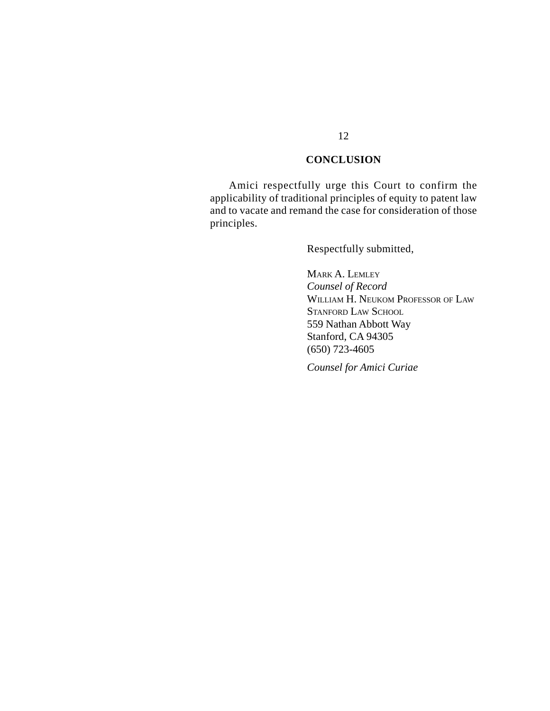#### **CONCLUSION**

Amici respectfully urge this Court to confirm the applicability of traditional principles of equity to patent law and to vacate and remand the case for consideration of those principles.

Respectfully submitted,

MARK A. LEMLEY *Counsel of Record* WILLIAM H. NEUKOM PROFESSOR OF LAW STANFORD LAW SCHOOL 559 Nathan Abbott Way Stanford, CA 94305 (650) 723-4605

*Counsel for Amici Curiae*

#### 12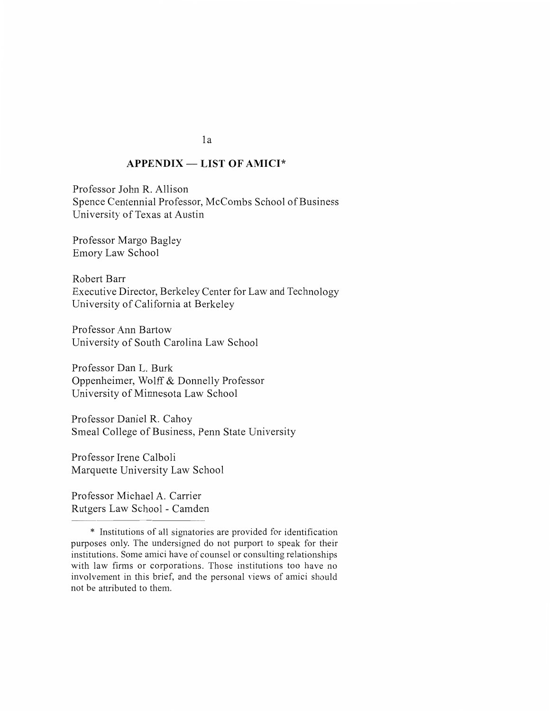#### **APPENDIX - LIST OF AMICI\***

Professor John R. Allison Spence Centennial Professor, McCombs School of Business University of Texas at Austin

Professor Margo Bagley Emory Law School

Robert Barr Executive Director, Berkeley Center for Law and Technology University of California at Berkeley

Professor Ann Bartow University of South Carolina Law School

Professor Dan L. Burk Oppenheimer, Wolff & Donnelly Professor University of Minnesota Law School

Professor Daniel R. Cahoy Smeal College of Business, Penn State University

Professor Irene Calboli Marquette University Law School

Professor Michael A. Carrier Rutgers Law School - Camden

 $1a$ 

<sup>\*</sup> Institutions of all signatories are provided for identification purposes only. The undersigned do not purport to speak for their institutions. Some amici have of counsel or consulting relationships with law firms or corporations. Those institutions too have no involvement in this brief, and the personal views of amici should not be attributed to them.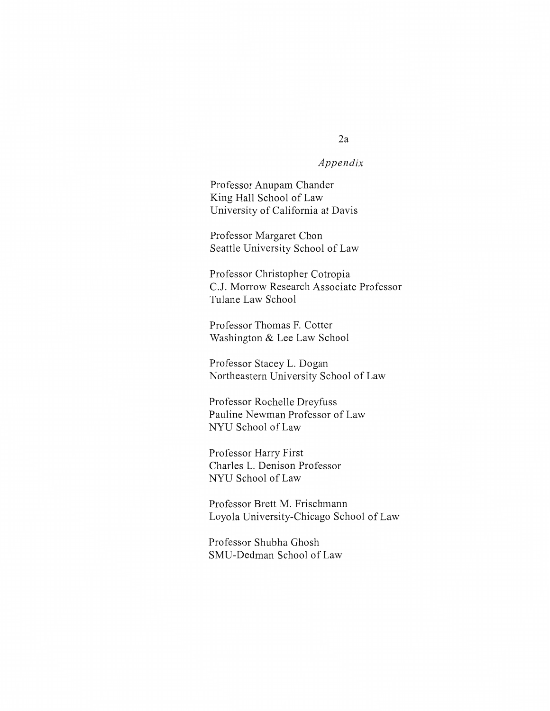#### Appendix

Professor Anupam Chander King Hall School of Law University of California at Davis

Professor Margaret Chon Seattle University School of Law

Professor Christopher Cotropia C.J. Morrow Research Associate Professor Tulane Law School

Professor Thomas F. Cotter Washington & Lee Law School

Professor Stacey L. Dogan Northeastern University School of Law

Professor Rochelle Dreyfuss Pauline Newman Professor of Law NYU School of Law

Professor Harry First Charles L. Denison Professor NYU School of Law

Professor Brett M. Frischmann Loyola University-Chicago School of Law

Professor Shubha Ghosh SMU-Dedman School of Law

#### $2a$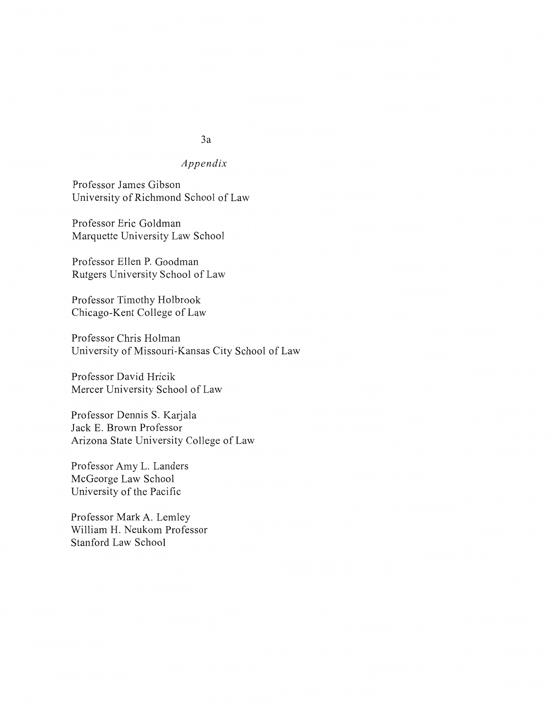# $3a$ Appendix

Professor James Gibson University of Richmond School of Law

Professor Eric Goldman Marquette University Law School

Professor Ellen P. Goodman Rutgers University School of Law

Professor Timothy Holbrook Chicago-Kent College of Law

Professor Chris Holman University of Missouri-Kansas City School of Law

Professor David Hricik Mercer University School of Law

Professor Dennis S. Karjala Jack E. Brown Professor Arizona State University College of Law

Professor Amy L. Landers McGeorge Law School University of the Pacific

Professor Mark A. Lemley William H. Neukom Professor Stanford Law School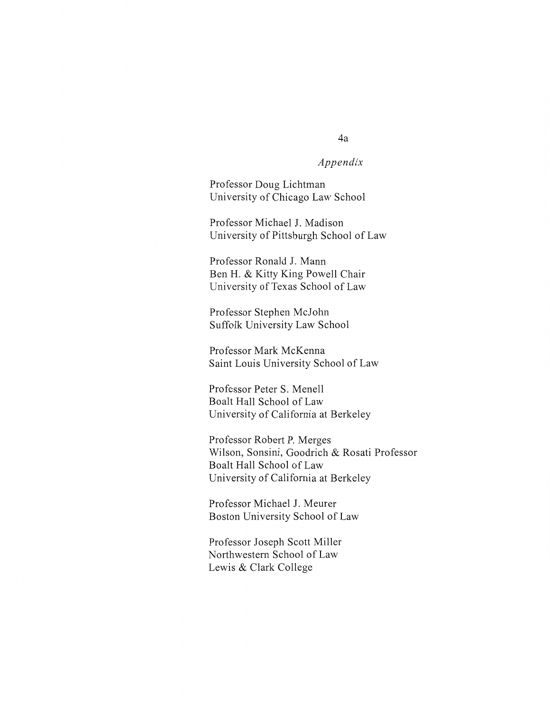### Appendix

Professor Doug Lichtman University of Chicago Law School

Professor Michael J. Madison University of Pittsburgh School of Law

Professor Ronald J. Mann Ben H. & Kitty King Powell Chair University of Texas School of Law

Professor Stephen McJohn Suffolk University Law School

Professor Mark McKenna Saint Louis University School of Law

Professor Peter S. Menell Boalt Hall School of Law University of California at Berkeley

Professor Robert P. Merges Wilson, Sonsini, Goodrich & Rosati Professor Boalt Hall School of Law University of California at Berkeley

Professor Michael J. Meurer Boston University School of Law

Professor Joseph Scott Miller Northwestern School of Law Lewis & Clark College

#### 4a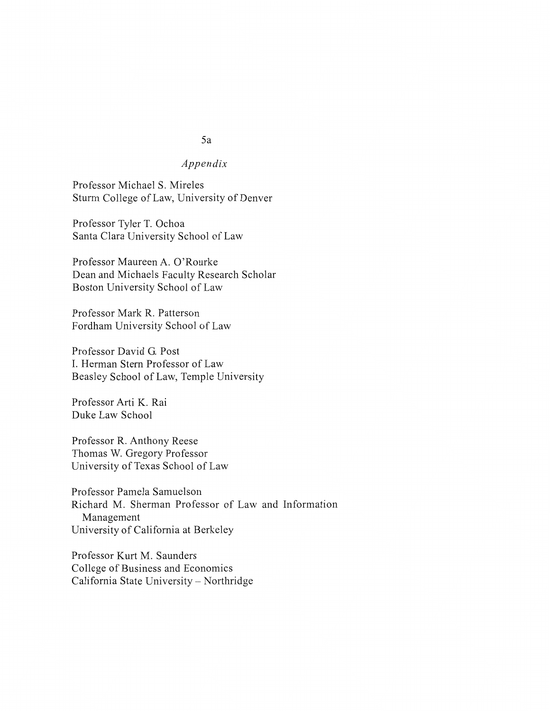# $5a$

# $Appendix$

Professor Michael S. Mireles Sturm College of Law, University of Denver

Professor Tyler T. Ochoa Santa Clara University School of Law

Professor Maureen A. O'Rourke Dean and Michaels Faculty Research Scholar Boston University School of Law

Professor Mark R. Patterson Fordham University School of Law

Professor David G. Post I. Herman Stern Professor of Law Beasley School of Law, Temple University

Professor Arti K. Rai Duke Law School

Professor R. Anthony Reese Thomas W. Gregory Professor University of Texas School of Law

Professor Pamela Samuelson Richard M. Sherman Professor of Law and Information Management University of California at Berkeley

Professor Kurt M. Saunders College of Business and Economics California State University - Northridge